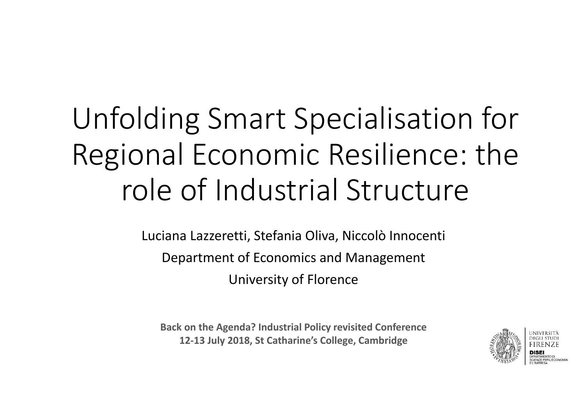# Unfolding Smart Specialisation for Regional Economic Resilience: the role of Industrial Structure

Luciana Lazzeretti, Stefania Oliva, Niccolò Innocenti Department of Economics and Management University of Florence

**Back on the Agenda? Industrial Policy revisited Conference 12‐13 July 2018, St Catharine's College, Cambridge**

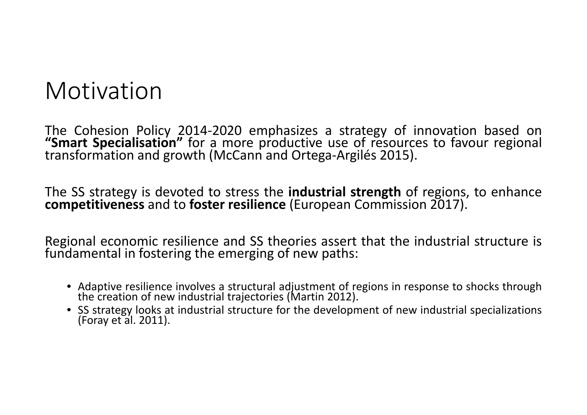#### Motivation

The Cohesion Policy 2014-2020 emphasizes a strategy of innovation based on "Smart Specialisation" for a more productive use of resources to favour regional transformation and growth (McCann and Ortega-Argilés 2015).

The SS strategy is devoted to stress the **industrial strength** of regions, to enhance **competitiveness** and to **foster resilience** (European Commission 2017).

Regional economic resilience and SS theories assert that the industrial structure is fundamental in fostering the emerging of new paths:

- Adaptive resilience involves <sup>a</sup> structural adjustment of regions in response to shocks through the creation of new industrial trajectories (Martin 2012).
- SS strategy looks at industrial structure for the development of new industrial specializations (Foray et al. 2011).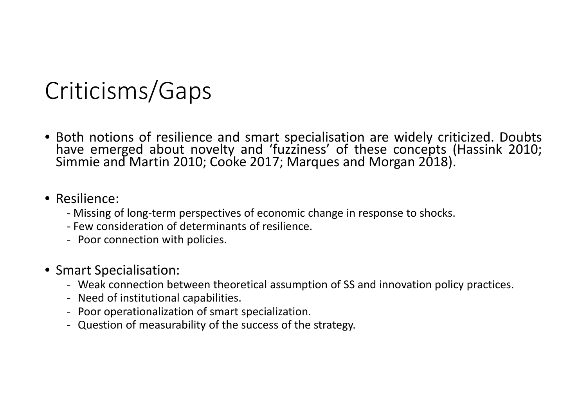## Criticisms/Gaps

• Both notions of resilience and smart specialisation are widely criticized. Doubts have emerged about novelty and 'fuzziness' of these concepts (Hassink 2010; Simmie and Martin 2010; Cooke 2017; Marques and Morgan 2018).

#### • Resilience:

- ‐ Missing of long‐term perspectives of economic change in response to shocks.
- ‐ Few consideration of determinants of resilience.
- ‐ Poor connection with policies.
- Smart Specialisation:
	- ‐ Weak connection between theoretical assumption of SS and innovation policy practices.
	- ‐ Need of institutional capabilities.
	- ‐ Poor operationalization of smart specialization.
	- ‐ Question of measurability of the success of the strategy.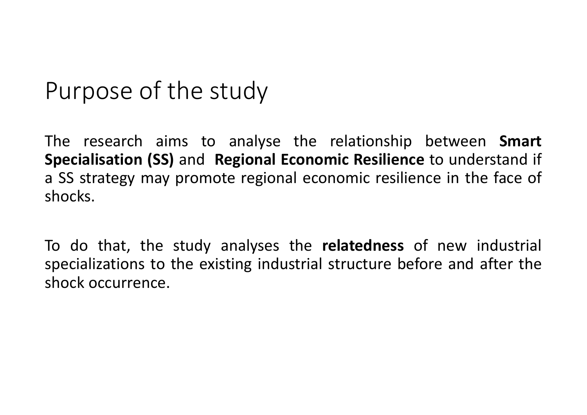#### Purpose of the study

The research aims to analyse the relationship between **Smart Specialisation (SS)** and **Regional Economic Resilience** to understand if <sup>a</sup> SS strategy may promote regional economic resilience in the face of shocks.

To do that, the study analyses the **relatedness** of new industrial specializations to the existing industrial structure before and after the shock occurrence.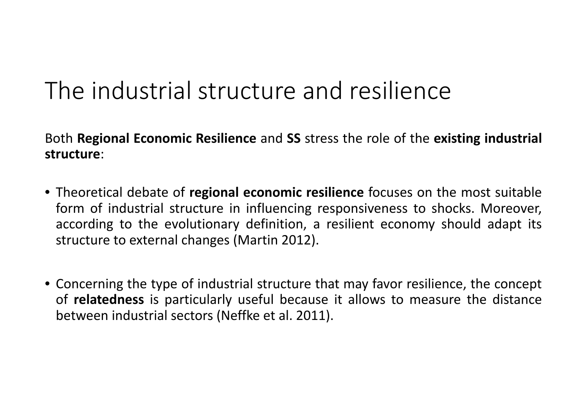### The industrial structure and resilience

Both **Regional Economic Resilience** and **SS** stress the role of the **existing industrial structure**:

- Theoretical debate of **regional economic resilience** focuses on the most suitable form of industrial structure in influencing responsiveness to shocks. Moreover, according to the evolutionary definition, <sup>a</sup> resilient economy should adapt its structure to external changes (Martin 2012).
- Concerning the type of industrial structure that may favor resilience, the concept of **relatedness** is particularly useful because it allows to measure the distance between industrial sectors (Neffke et al. 2011).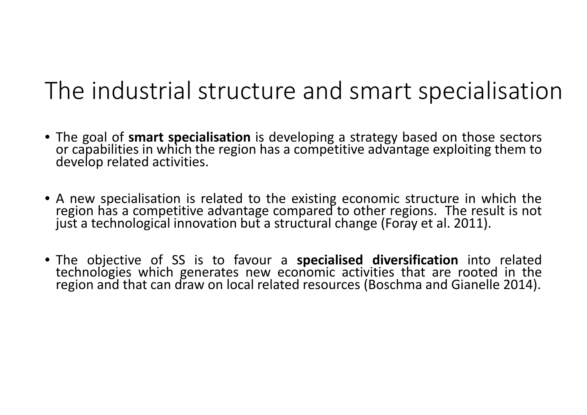### The industrial structure and smart specialisation

- The goal of **smart specialisation** is developing <sup>a</sup> strategy based on those sectors or capabilities in which the region has a competitive advantage exploiting them to develop related activities.
- A new specialisation is related to the existing economic structure in which the region has <sup>a</sup> competitive advantage compared to other regions. The result is not just <sup>a</sup> technological innovation but <sup>a</sup> structural change (Foray et al. 2011).
- The objective of SS is to favour <sup>a</sup> **specialised diversification** into related technologies which generates new economic activities that are rooted in the region and that can draw on local related resources (Boschma and Gianelle 2014).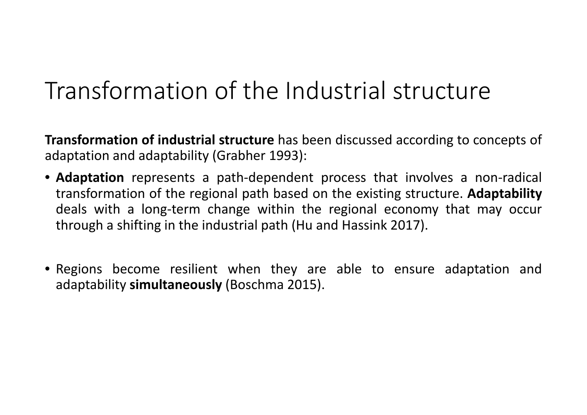### Transformation of the Industrial structure

**Transformation of industrial structure** has been discussed according to concepts of adaptation and adaptability (Grabher 1993):

- **Adaptation** represents <sup>a</sup> path‐dependent process that involves <sup>a</sup> non‐radical transformation of the regional path based on the existing structure. **Adaptability** deals with <sup>a</sup> long‐term change within the regional economy that may occur through <sup>a</sup> shifting in the industrial path (Hu and Hassink 2017).
- Regions become resilient when they are able to ensure adaptation and adaptability **simultaneously** (Boschma 2015).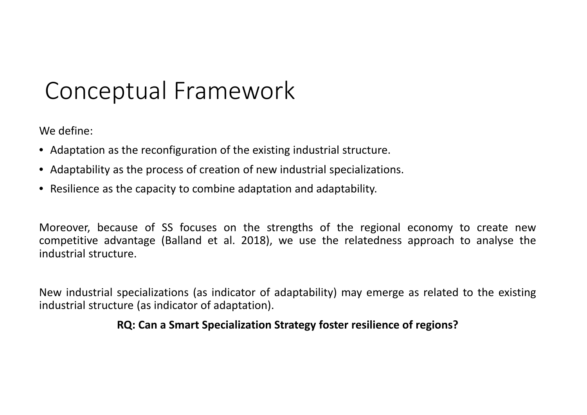## Conceptual Framework

We define:

- Adaptation as the reconfiguration of the existing industrial structure.
- Adaptability as the process of creation of new industrial specializations.
- Resilience as the capacity to combine adaptation and adaptability.

Moreover, because of SS focuses on the strengths of the regional economy to create new competitive advantage (Balland et al. 2018), we use the relatedness approach to analyse the industrial structure.

New industrial specializations (as indicator of adaptability) may emerge as related to the existing industrial structure (as indicator of adaptation).

#### **RQ: Can <sup>a</sup> Smart Specialization Strategy foster resilience of regions?**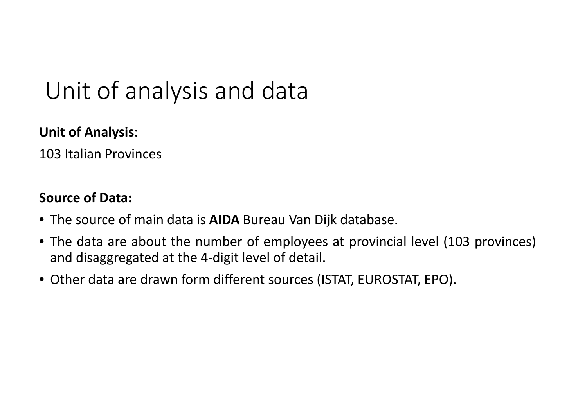## Unit of analysis and data

#### **Unit of Analysis**:

103 Italian Provinces

#### **Source of Data:**

- The source of main data is **AIDA** Bureau Van Dijk database.
- The data are about the number of employees at provincial level (103 provinces) and disaggregated at the 4‐digit level of detail.
- Other data are drawn form different sources (ISTAT, EUROSTAT, EPO).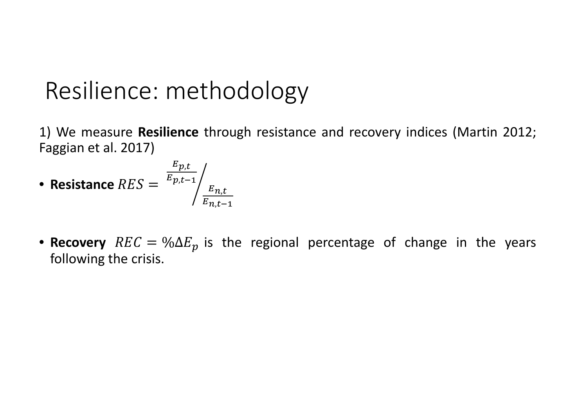### Resilience: methodology

1) We measure **Resilience** through resistance and recovery indices (Martin 2012; Faggian et al. 2017)

• **Resistance** 
$$
RES = \frac{E_{p,t}}{E_{p,t-1}} / \frac{E_{n,t}}{E_{n,t-1}}
$$

• **Recovery**  $REC = \% \Delta E_p$  is the regional percentage of change in the years following the crisis.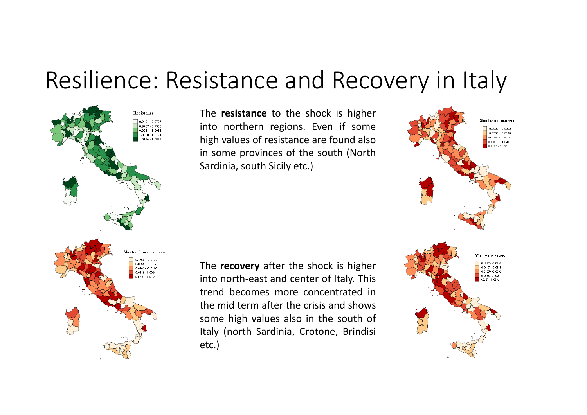#### Resilience: Resistance and Recovery in Italy



The **resistance** to the shock is higher into northern regions. Even if some high values of resistance are found also in some provinces of the south (North Sardinia, south Sicily etc.)

The **recovery** after the shock is higher into north‐east and center of Italy. This trend becomes more concentrated inthe mid term after the crisis and showssome high values also in the south of Italy (north Sardinia, Crotone, Brindisi etc.)

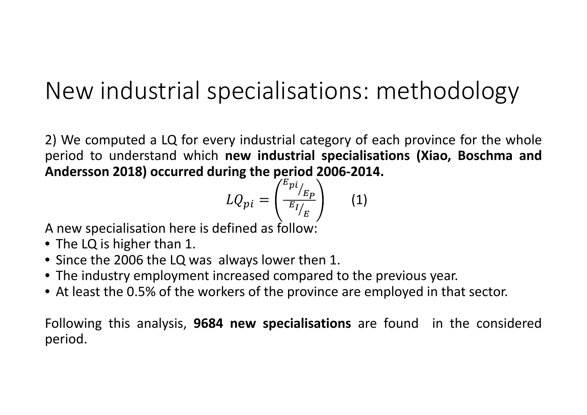## New industrial specialisations: methodology

2) We computed <sup>a</sup> LQ for every industrial category of each province for the whole period to understand which **new industrial specialisations (Xiao, Boschma and Andersson 2018) occurred during the period 2006‐2014.**

$$
LQ_{pi} = \left(\frac{E_{pi}}{E_{I/E}}\right) \qquad (1)
$$

A new specialisation here is defined as follow:

- The LQ is higher than 1.
- Since the 2006 the LQ was always lower then 1.
- The industry employment increased compared to the previous year.
- At least the 0.5% of the workers of the province are employed in that sector.

Following this analysis, **9684 new specialisations** are found in the considered period.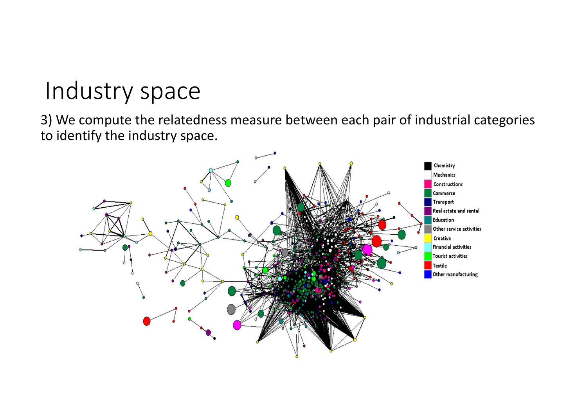## Industry space

3) We compute the relatedness measure between each pair of industrial categories to identify the industry space.

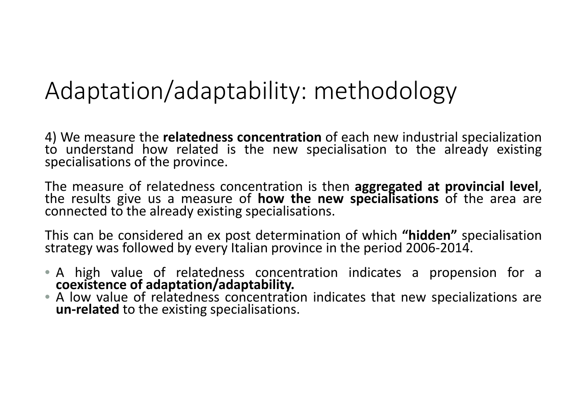### Adaptation/adaptability: methodology

4) We measure the **relatedness concentration** of each new industrial specialization to understand how related is the new specialisation to the already existing specialisations of the province.

The measure of relatedness concentration is then aggregated at provincial level, the results give us a measure of **how the new specialisations** of the area are<br>connected to the already existing specialisations.

This can be considered an ex post determination of which **"hidden"** specialisation strategy was followed by every Italian province in the period 2006 ‐2014.

- A high value of relatedness concentration indicates <sup>a</sup> propension for <sup>a</sup> **coexistence of adaptation/adaptability.**
- A low value of relatedness concentration indicates that new specializations are **un ‐related** to the existing specialisations.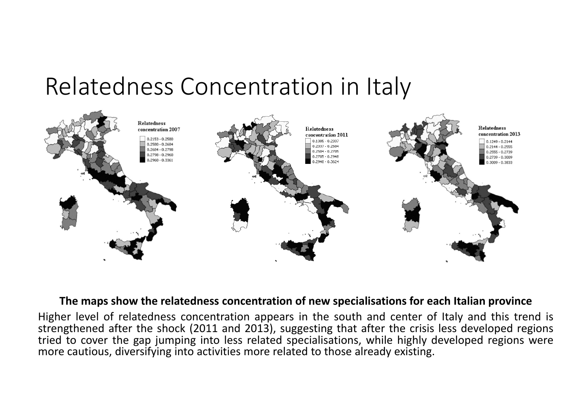#### Relatedness Concentration in Italy



#### **The maps show the relatedness concentration of new specialisations for each Italian province**

Higher level of relatedness concentration appears in the south and center of Italy and this trend is strengthened after the shock (2011 and 2013), suggesting that after the crisis less developed regions tried to cover the gap jumping into less related specialisations, while highly developed regions were more cautious, diversifying into activities more related to those already existing.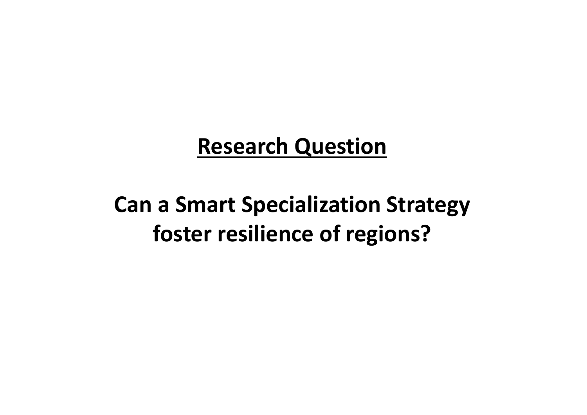#### **Research Question**

#### **Can <sup>a</sup> Smart Specialization Strategy foster resilience of regions?**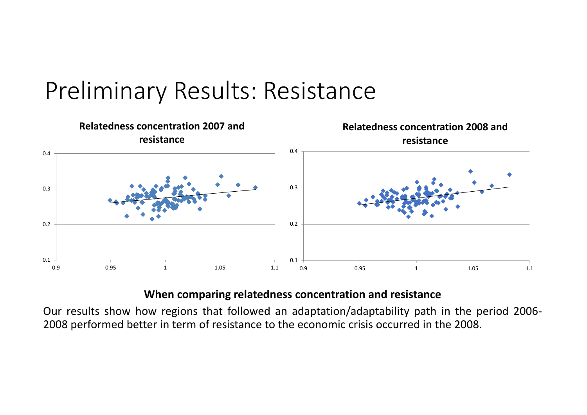



#### **When comparing relatedness concentration and resistance**

Our results show how regions that followed an adaptation/adaptability path in the period 2006‐ 2008 performed better in term of resistance to the economic crisis occurred in the 2008.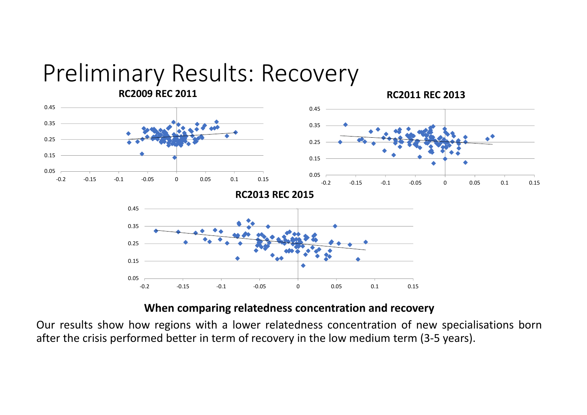

#### **When comparing relatedness concentration and recovery**

Our results show how regions with <sup>a</sup> lower relatedness concentration of new specialisations born after the crisis performed better in term of recovery in the low medium term (3‐5 years).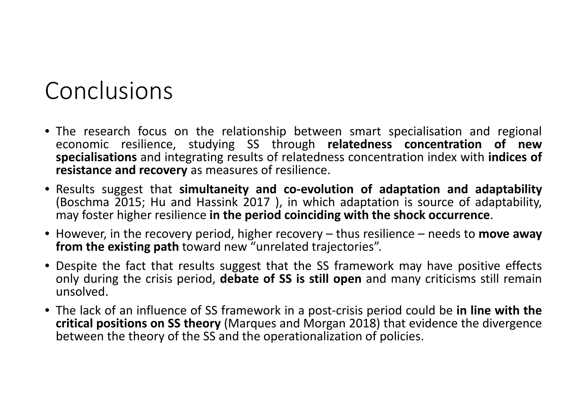#### Conclusions

- The research focus on the relationship between smart specialisation and regional economic resilience, studying SS through **relatedness concentration of new specialisations** and integrating results of relatedness concentration index with **indices of resistance and recovery** as measures of resilience.
- Results suggest that **simultaneity and co‐evolution of adaptation and adaptability** (Boschma 2015; Hu and Hassink 2017 ), in which adaptation is source of adaptability, may foster higher resilience **in the period coinciding with the shock occurrence**.
- However, in the recovery period, higher recovery thus resilience needs to **move away from the existing path** toward new "unrelated trajectories".
- Despite the fact that results suggest that the SS framework may have positive effects only during the crisis period, **debate of SS is still open** and many criticisms still remain unsolved.
- The lack of an influence of SS framework in <sup>a</sup> post‐crisis period could be **in line with the critical positions on SS theory** (Marques and Morgan 2018) that evidence the divergence between the theory of the SS and the operationalization of policies.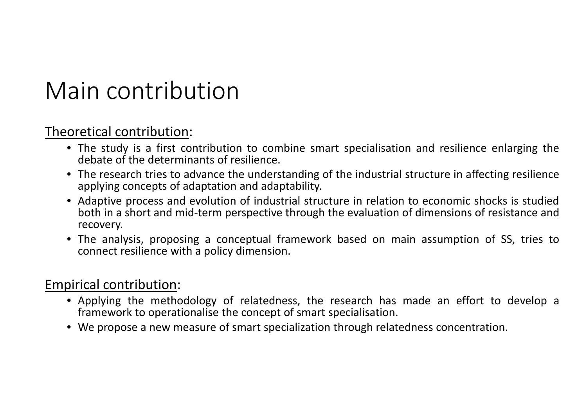### Main contribution

#### Theoretical contribution:

- The study is <sup>a</sup> first contribution to combine smart specialisation and resilience enlarging the debate of the determinants of resilience.
- The research tries to advance the understanding of the industrial structure in affecting resilience applying concepts of adaptation and adaptability.
- Adaptive process and evolution of industrial structure in relation to economic shocks is studied both in <sup>a</sup> short and mid‐term perspective through the evaluation of dimensions of resistance and recovery.
- The analysis, proposing <sup>a</sup> conceptual framework based on main assumption of SS, tries to connect resilience with <sup>a</sup> policy dimension.

#### Empirical contribution:

- Applying the methodology of relatedness, the research has made an effort to develop <sup>a</sup> framework to operationalise the concept of smart specialisation.
- We propose <sup>a</sup> new measure of smart specialization through relatedness concentration.